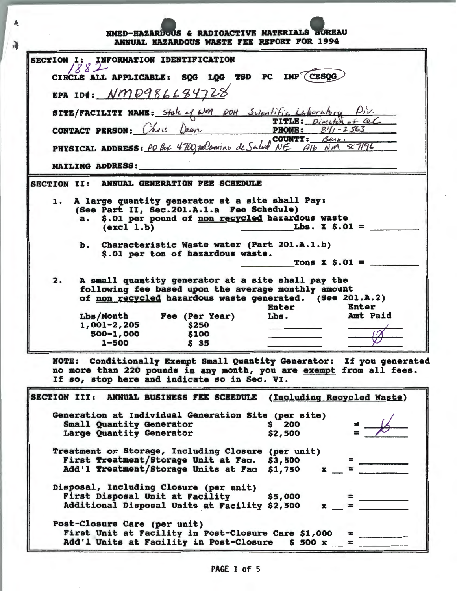|    | SECTION I: INFORMATION IDENTIFICATION                                                                                                                                                   |
|----|-----------------------------------------------------------------------------------------------------------------------------------------------------------------------------------------|
|    | CIRCLE ALL APPLICABLE: SQG LQG TSD PC IMP (CESQG                                                                                                                                        |
|    | EPA ID#: <u>NMD986684728</u>                                                                                                                                                            |
|    |                                                                                                                                                                                         |
|    | SITE/FACILITY NAME: State of NM port Scientific Laboratory Div.<br>TITLE: Director of all<br>CONTACT PERSON: Chis Dean<br>PHONE: 841-2563                                               |
|    |                                                                                                                                                                                         |
|    |                                                                                                                                                                                         |
|    | PHYSICAL ADDRESS: PO Box 4700, ralamino de Salud NE Alb NM & 7196                                                                                                                       |
|    |                                                                                                                                                                                         |
|    | <b>MAILING ADDRESS:</b>                                                                                                                                                                 |
|    |                                                                                                                                                                                         |
|    | SECTION II: ANNUAL GENERATION FEE SCHEDULE                                                                                                                                              |
| 1. | A large quantity generator at a site shall Pay:<br>(See Part II, Sec. 201.A.1.a Fee Schedule)                                                                                           |
|    | \$.01 per pound of non recycled hazardous waste<br>a.<br>Lbs. $X$ $S.01$ =<br>(excl 1.b)                                                                                                |
|    | ъ.                                                                                                                                                                                      |
|    | Characteristic Waste water (Part 201.A.1.b)<br>\$.01 per ton of hazardous waste.                                                                                                        |
|    | Tons $X \tS.01 =$                                                                                                                                                                       |
| 2. | A small quantity generator at a site shall pay the<br>following fee based upon the average monthly amount<br>of non recycled hazardous waste generated. (See 201.A.2)<br>Enter<br>Enter |
|    | Amt Paid<br>Lbs.<br>Lbs/Month Fee (Per Year)                                                                                                                                            |
|    | 1,001-2,205<br>\$250                                                                                                                                                                    |
|    | 500-1,000<br>\$100<br>$1 - 500$<br>\$35                                                                                                                                                 |

 $\lambda$ 

| (Including Recycled Waste)<br>ANNUAL BUSINESS FEE SCHEDULE<br><b>SECTION III:</b> |  |
|-----------------------------------------------------------------------------------|--|
| Generation at Individual Generation Site (per site)                               |  |
| \$200<br><b>Small Quantity Generator</b>                                          |  |
| Large Quantity Generator<br>\$2,500                                               |  |
| (per unit)<br>Treatment or Storage, Including Closure                             |  |
| First Treatment/Storage Unit at Fac.<br>\$3,500                                   |  |
| Add'l Treatment/Storage Units at Fac<br>\$1,750                                   |  |
| Disposal, Including Closure (per unit)                                            |  |
| First Disposal Unit at Facility<br>\$5,000                                        |  |
| Additional Disposal Units at Facility \$2,500                                     |  |
| Post-Closure Care (per unit)                                                      |  |
| First Unit at Facility in Post-Closure Care \$1,000                               |  |
| Add'l Units at Facility in Post-Closure<br>\$500x                                 |  |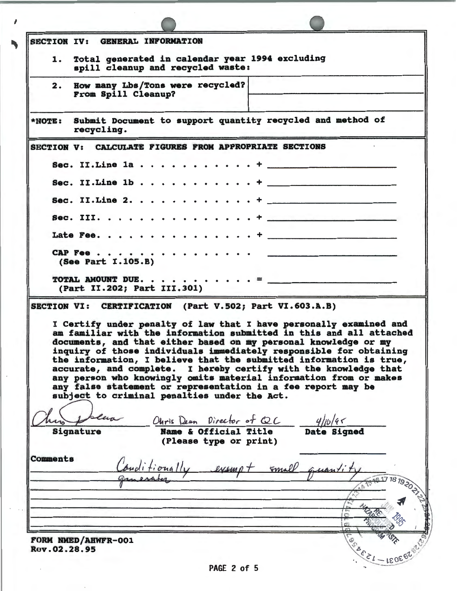| <b>SECTION IV:</b> | <b>GENERAL INFORMATION</b>                                                                                                                                                                                                                                                                                                                                                                                                                                                                                                                                                                                        |
|--------------------|-------------------------------------------------------------------------------------------------------------------------------------------------------------------------------------------------------------------------------------------------------------------------------------------------------------------------------------------------------------------------------------------------------------------------------------------------------------------------------------------------------------------------------------------------------------------------------------------------------------------|
| 1.                 | Total generated in calendar year 1994 excluding<br>spill cleanup and recycled waste:                                                                                                                                                                                                                                                                                                                                                                                                                                                                                                                              |
| 2.                 | How many Lbs/Tons were recycled?<br>From Spill Cleanup?                                                                                                                                                                                                                                                                                                                                                                                                                                                                                                                                                           |
| *NOTE:             | Submit Document to support quantity recycled and method of<br>recycling.                                                                                                                                                                                                                                                                                                                                                                                                                                                                                                                                          |
| <b>SECTION V:</b>  | CALCULATE FIGURES FROM APPROPRIATE SECTIONS                                                                                                                                                                                                                                                                                                                                                                                                                                                                                                                                                                       |
|                    | Sec. II. Line $1a \cdot \cdot \cdot \cdot \cdot \cdot \cdot \cdot \cdot +$                                                                                                                                                                                                                                                                                                                                                                                                                                                                                                                                        |
|                    | Sec. II. Line $1b \cdot \cdot \cdot \cdot \cdot$                                                                                                                                                                                                                                                                                                                                                                                                                                                                                                                                                                  |
|                    | Sec. II. Line $2.$                                                                                                                                                                                                                                                                                                                                                                                                                                                                                                                                                                                                |
|                    |                                                                                                                                                                                                                                                                                                                                                                                                                                                                                                                                                                                                                   |
|                    |                                                                                                                                                                                                                                                                                                                                                                                                                                                                                                                                                                                                                   |
|                    | CAP Fee<br>the company of the company of the company of the company of the company of the company of the company of the company of the company of the company of the company of the company of the company of the company of the company<br>(See Part I.105.B)                                                                                                                                                                                                                                                                                                                                                    |
|                    | (Part II.202; Part III.301)                                                                                                                                                                                                                                                                                                                                                                                                                                                                                                                                                                                       |
|                    | SECTION VI: CERTIFICATION (Part V.502; Part VI.603.A.B)                                                                                                                                                                                                                                                                                                                                                                                                                                                                                                                                                           |
|                    | I Certify under penalty of law that I have personally examined and<br>am familiar with the information submitted in this and all attached<br>documents, and that either based on my personal knowledge or my<br>inquiry of those individuals immediately responsible for obtaining<br>the information, I believe that the submitted information is true,<br>accurate, and complete. I hereby certify with the knowledge that<br>any person who knowingly omits material information from or makes<br>any false statement or representation in a fee report may be<br>subject to criminal penalties under the Act. |
| Signature          | Ohris Dean Director of QC 4/1b/45                                                                                                                                                                                                                                                                                                                                                                                                                                                                                                                                                                                 |
|                    | (Please type or print)                                                                                                                                                                                                                                                                                                                                                                                                                                                                                                                                                                                            |
|                    |                                                                                                                                                                                                                                                                                                                                                                                                                                                                                                                                                                                                                   |
|                    |                                                                                                                                                                                                                                                                                                                                                                                                                                                                                                                                                                                                                   |
|                    | buditionally exampt small quantity                                                                                                                                                                                                                                                                                                                                                                                                                                                                                                                                                                                |
| Comments           |                                                                                                                                                                                                                                                                                                                                                                                                                                                                                                                                                                                                                   |
| Rev.02.28.95       | 1617 18 1920<br>FORM NMED/AHWFR-001                                                                                                                                                                                                                                                                                                                                                                                                                                                                                                                                                                               |

 $\pmb{\theta}$ 

PAGE 2 of 5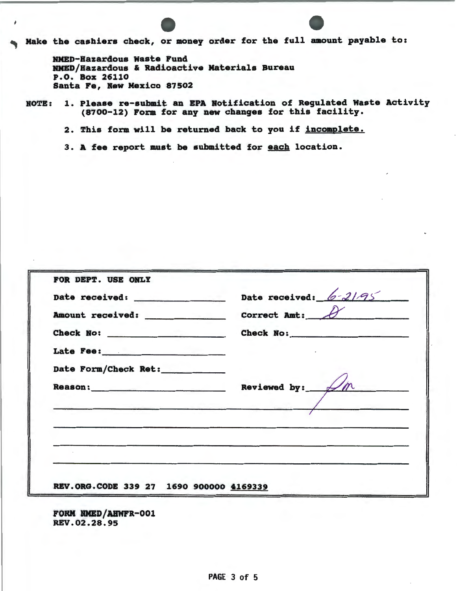Make the cashiers check, or money order for the full amount payable to:

RHED-Hazardous waste Fund RHED/Hazardous & Radioactive Materials Bureau P.O. Box 26110 Santa Fe, Hew Mexico 87502

ROTE: 1. Please re-submit an EPA Notification of Regulated Waste Activity (8700-12) Form for any new changes for this facility.

2. This form will be returned back to you if incomplete.

3. A fee report must be submitted for each location.

|                                         | Date received: 6-2195      |
|-----------------------------------------|----------------------------|
|                                         | Correct Ant: $\theta$      |
|                                         | Check No:                  |
|                                         |                            |
| Date Form/Check Ret:                    |                            |
|                                         | Reviewed by: $\mathcal{M}$ |
|                                         |                            |
|                                         |                            |
|                                         |                            |
|                                         |                            |
| REV.ORG.CODE 339 27 1690 900000 4169339 |                            |

FORM HMED/ABWFR-001 REV.02.28.95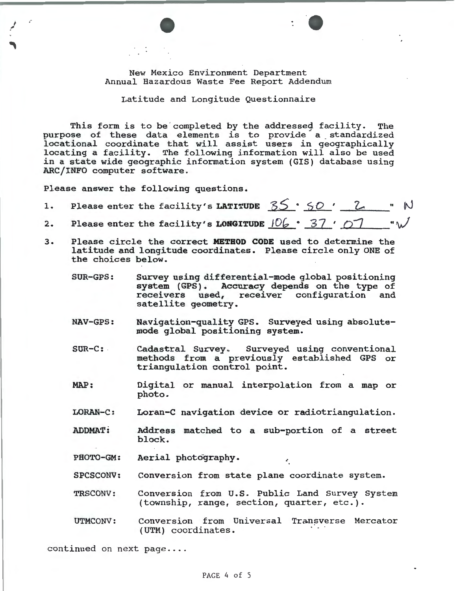New Mexico Environment Department Annual Hazardous Waste Fee Report Addendum

Latitude and Longitude Questionnaire

This form is to be completed by the addressed facility. The purpose of these data elements is to provide a standardized locational coordinate that will assist users in geographically locating a facility. The following information will also be used in a state wide geographic information system (GIS) database using ARC/INFO computer software.

Please answer the following questions.

; ,

1. Please enter the facility's LATITUDE  $35 \cdot 50$  '  $2.$ 2. Please enter the facility's LONGITUDE  $106 \cdot 37$  ' 07

- 3. Please circle the correct METHOD CODE used to determine the latitude and longitude coordinates. Please circle only ONE of the choices below.
	- SUR-GPS: Survey using differential-mode global positioning system (GPS). Accuracy depends on the type of receivers used, receiver configuration and satellite geometry.
	- NAV-GPS: Navigation-quality GPS. Surveyed using absolutemode global positioning system.
	- SUR-C: Cadastral Survey. Surveyed using conventional methods from a previously established GPS or triangulation control point.
	- MAP: Digital or manual interpolation from a map or photo.
	- LORAN-C: Loran-C navigation device or radiotriangulation.
	- ADDMAT: Address matched to a sub-portion of a street block.
	- PHOTO-GM: Aerial photography.
	- SPCSCONV: Conversion from state plane coordinate system.
	- TRSCONV: Conversion from U.S. Public Land Survey System (township, range, section, quarter, etc.).
	- UTMCONV: Conversion from Universal Transverse Mercator (UTM) coordinates.

continued on next  $page...$